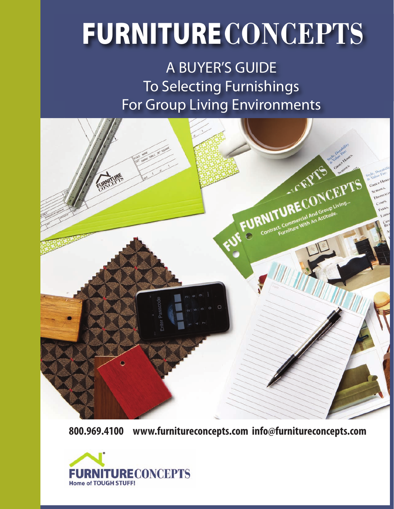# **FURNITURECONCEPTS**

A BUYER'S GUIDE To Selecting Furnishings For Group Living Environments



**800.969.4100 www.furnitureconcepts.com info@furnitureconcepts.com**

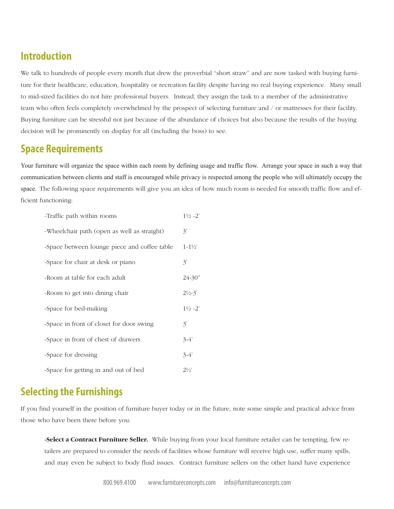## **Introduction**

We talk to hundreds of people every month that drew the proverbial "short straw" and are now tasked with buying furniture for their healthcare, education, hospitality or recreation facility despite having no real buying experience. Many small to mid-sized facilities do not hire professional buyers. Instead, they assign the task to a member of the administrative team who often feels completely overwhelmed by the prospect of selecting furniture and / or mattresses for their facility. Buying furniture can be stressful not just because of the abundance of choices but also because the results of the buying decision will be prominently on display for all (including the boss) to see.

## **Space Requirements**

Your furniture will organize the space within each room by defining usage and traffic flow. Arrange your space in such a way that communication between clients and staff is encouraged while privacy is respected among the people who will ultimately occupy the space. The following space requirements will give you an idea of how much room is needed for smooth traffic flow and efficient functioning:

| -Traffic path within rooms                   | $1\frac{1}{2} - 2$ |
|----------------------------------------------|--------------------|
| -Wheelchair path (open as well as straight)  | 3'                 |
| -Space between lounge piece and coffee table | $1 - 1\frac{1}{2}$ |
| -Space for chair at desk or piano            | 3'                 |
| -Room at table for each adult                | $24 - 30"$         |
| -Room to get into dining chair               | $2\frac{1}{2} - 3$ |
| -Space for bed-making                        | $1\frac{1}{2} - 2$ |
| -Space in front of closet for door swing     | 3'                 |
| -Space in front of chest of drawers          | $3-4'$             |
| -Space for dressing                          | $3-4'$             |
| -Space for getting in and out of bed         | $2\frac{1}{2}$     |

# **Selecting the Furnishings**

If you find yourself in the position of furniture buyer today or in the future, note some simple and practical advice from those who have been there before you:

**-Select a Contract Furniture Seller.** While buying from your local furniture retailer can be tempting, few retailers are prepared to consider the needs of facilities whose furniture will receive high use, suffer many spills, and may even be subject to body fluid issues. Contract furniture sellers on the other hand have experience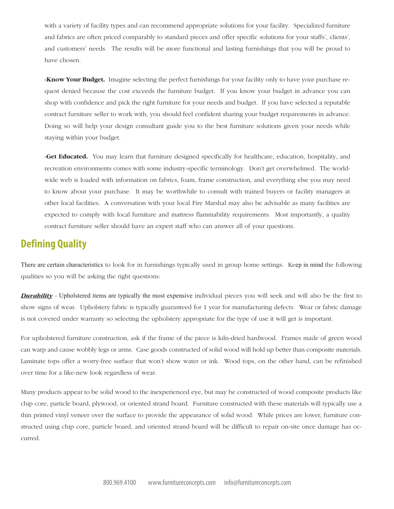with a variety of facility types and can recommend appropriate solutions for your facility. Specialized furniture and fabrics are often priced comparably to standard pieces and offer specific solutions for your staffs', clients', and customers' needs. The results will be more functional and lasting furnishings that you will be proud to have chosen.

**-Know Your Budget.** Imagine selecting the perfect furnishings for your facility only to have your purchase request denied because the cost exceeds the furniture budget. If you know your budget in advance you can shop with confidence and pick the right furniture for your needs and budget. If you have selected a reputable contract furniture seller to work with, you should feel confident sharing your budget requirements in advance. Doing so will help your design consultant guide you to the best furniture solutions given your needs while staying within your budget.

**-Get Educated.** You may learn that furniture designed specifically for healthcare, education, hospitality, and recreation environments comes with some industry-specific terminology. Don't get overwhelmed. The worldwide web is loaded with information on fabrics, foam, frame construction, and everything else you may need to know about your purchase. It may be worthwhile to consult with trained buyers or facility managers at other local facilities. A conversation with your local Fire Marshal may also be advisable as many facilities are expected to comply with local furniture and mattress flammability requirements. Most importantly, a quality contract furniture seller should have an expert staff who can answer all of your questions.

## **Defining Quality**

There are certain characteristics to look for in furnishings typically used in group home settings. Keep in mind the following qualities so you will be asking the right questions:

*Durability* - Upholstered items are typically the most expensive individual pieces you will seek and will also be the first to show signs of wear. Upholstery fabric is typically guaranteed for 1 year for manufacturing defects. Wear or fabric damage is not covered under warranty so selecting the upholstery appropriate for the type of use it will get is important.

For upholstered furniture construction, ask if the frame of the piece is kiln-dried hardwood. Frames made of green wood can warp and cause wobbly legs or arms. Case goods constructed of solid wood will hold up better than composite materials. Laminate tops offer a worry-free surface that won't show water or ink. Wood tops, on the other hand, can be refinished over time for a like-new look regardless of wear.

Many products appear to be solid wood to the inexperienced eye, but may be constructed of wood composite products like chip core, particle board, plywood, or oriented strand board. Furniture constructed with these materials will typically use a thin printed vinyl veneer over the surface to provide the appearance of solid wood. While prices are lower, furniture constructed using chip core, particle board, and oriented strand board will be difficult to repair on-site once damage has occurred.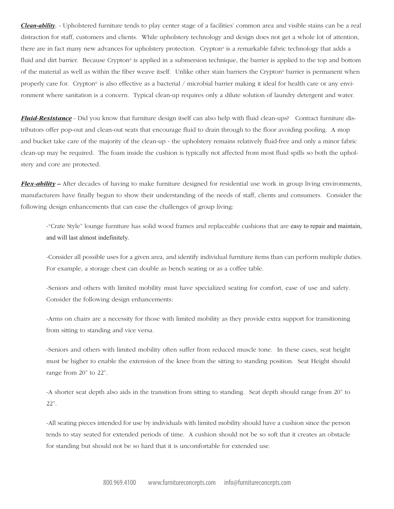*Clean-ability*. - Upholstered furniture tends to play center stage of a facilities' common area and visible stains can be a real distraction for staff, customers and clients. While upholstery technology and design does not get a whole lot of attention, there are in fact many new advances for upholstery protection. Crypton<sup>®</sup> is a remarkable fabric technology that adds a fluid and dirt barrier. Because Crypton<sup>®</sup> is applied in a submersion technique, the barrier is applied to the top and bottom of the material as well as within the fiber weave itself. Unlike other stain barriers the Crypton® barrier is permanent when properly care for. Crypton<sup>®</sup> is also effective as a bacterial / microbial barrier making it ideal for health care or any environment where sanitation is a concern. Typical clean-up requires only a dilute solution of laundry detergent and water.

*Fluid-Resistance -* Did you know that furniture design itself can also help with fluid clean-ups? Contract furniture distributors offer pop-out and clean-out seats that encourage fluid to drain through to the floor avoiding pooling. A mop and bucket take care of the majority of the clean-up - the upholstery remains relatively fluid-free and only a minor fabric clean-up may be required. The foam inside the cushion is typically not affected from most fluid spills so both the upholstery and core are protected.

*Flex-ability* **–** After decades of having to make furniture designed for residential use work in group living environments, manufacturers have finally begun to show their understanding of the needs of staff, clients and consumers. Consider the following design enhancements that can ease the challenges of group living:

-"Crate Style" lounge furniture has solid wood frames and replaceable cushions that are easy to repair and maintain, and will last almost indefinitely.

-Consider all possible uses for a given area, and identify individual furniture items than can perform multiple duties. For example, a storage chest can double as bench seating or as a coffee table.

-Seniors and others with limited mobility must have specialized seating for comfort, ease of use and safety. Consider the following design enhancements:

-Arms on chairs are a necessity for those with limited mobility as they provide extra support for transitioning from sitting to standing and vice versa.

-Seniors and others with limited mobility often suffer from reduced muscle tone. In these cases, seat height must be higher to enable the extension of the knee from the sitting to standing position. Seat Height should range from 20" to 22".

-A shorter seat depth also aids in the transition from sitting to standing. Seat depth should range from 20" to 22".

-All seating pieces intended for use by individuals with limited mobility should have a cushion since the person tends to stay seated for extended periods of time. A cushion should not be so soft that it creates an obstacle for standing but should not be so hard that it is uncomfortable for extended use.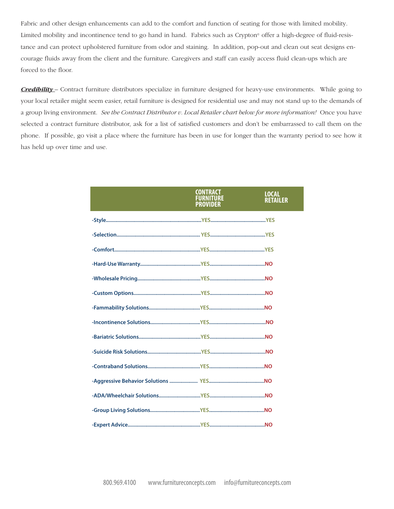Fabric and other design enhancements can add to the comfort and function of seating for those with limited mobility. Limited mobility and incontinence tend to go hand in hand. Fabrics such as Crypton<sup>®</sup> offer a high-degree of fluid-resistance and can protect upholstered furniture from odor and staining. In addition, pop-out and clean out seat designs encourage fluids away from the client and the furniture. Caregivers and staff can easily access fluid clean-ups which are forced to the floor.

*Credibility –* Contract furniture distributors specialize in furniture designed for heavy-use environments. While going to your local retailer might seem easier, retail furniture is designed for residential use and may not stand up to the demands of a group living environment. *See the Contract Distributor v. Local Retailer chart below for more information!* Once you have selected a contract furniture distributor, ask for a list of satisfied customers and don't be embarrassed to call them on the phone. If possible, go visit a place where the furniture has been in use for longer than the warranty period to see how it has held up over time and use.

| <b>CONTRACT</b><br><b>FURNITURE</b><br><b>PROVIDER</b> | <b>LOCAL</b><br><b>RETAILER</b> |
|--------------------------------------------------------|---------------------------------|
|                                                        |                                 |
|                                                        |                                 |
|                                                        |                                 |
|                                                        |                                 |
|                                                        |                                 |
|                                                        |                                 |
|                                                        |                                 |
|                                                        |                                 |
|                                                        |                                 |
|                                                        |                                 |
|                                                        |                                 |
|                                                        |                                 |
|                                                        |                                 |
|                                                        |                                 |
|                                                        |                                 |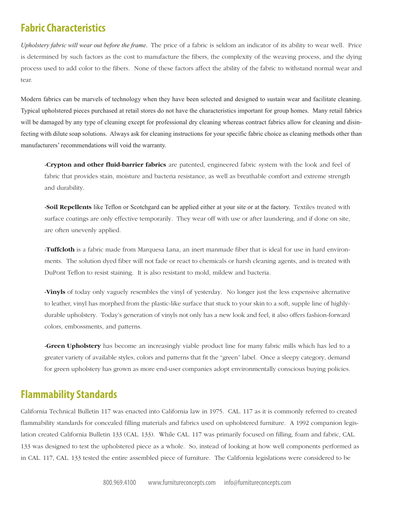## **Fabric Characteristics**

*Upholstery fabric will wear out before the frame*. The price of a fabric is seldom an indicator of its ability to wear well. Price is determined by such factors as the cost to manufacture the fibers, the complexity of the weaving process, and the dying process used to add color to the fibers. None of these factors affect the ability of the fabric to withstand normal wear and tear.

Modern fabrics can be marvels of technology when they have been selected and designed to sustain wear and facilitate cleaning. Typical upholstered pieces purchased at retail stores do not have the characteristics important for group homes. Many retail fabrics will be damaged by any type of cleaning except for professional dry cleaning whereas contract fabrics allow for cleaning and disinfecting with dilute soap solutions. Always ask for cleaning instructions for your specific fabric choice as cleaning methods other than manufacturers' recommendations will void the warranty.

**-Crypton and other fluid-barrier fabrics** are patented, engineered fabric system with the look and feel of fabric that provides stain, moisture and bacteria resistance, as well as breathable comfort and extreme strength and durability.

**-Soil Repellents** like Teflon or Scotchgard can be applied either at your site or at the factory. Textiles treated with surface coatings are only effective temporarily. They wear off with use or after laundering, and if done on site, are often unevenly applied.

**-Tuffcloth** is a fabric made from Marquesa Lana, an inert manmade fiber that is ideal for use in hard environments. The solution dyed fiber will not fade or react to chemicals or harsh cleaning agents, and is treated with DuPont Teflon to resist staining. It is also resistant to mold, mildew and bacteria.

**-Vinyls** of today only vaguely resembles the vinyl of yesterday. No longer just the less expensive alternative to leather, vinyl has morphed from the plastic-like surface that stuck to your skin to a soft, supple line of highlydurable upholstery. Today's generation of vinyls not only has a new look and feel, it also offers fashion-forward colors, embossments, and patterns.

**-Green Upholstery** has become an increasingly viable product line for many fabric mills which has led to a greater variety of available styles, colors and patterns that fit the "green" label. Once a sleepy category, demand for green upholstery has grown as more end-user companies adopt environmentally conscious buying policies.

## **Flammability Standards**

California Technical Bulletin 117 was enacted into California law in 1975. CAL. 117 as it is commonly referred to created flammability standards for concealed filling materials and fabrics used on upholstered furniture. A 1992 companion legislation created California Bulletin 133 (CAL. 133). While CAL. 117 was primarily focused on filling, foam and fabric, CAL. 133 was designed to test the upholstered piece as a whole. So, instead of looking at how well components performed as in CAL. 117, CAL. 133 tested the entire assembled piece of furniture. The California legislations were considered to be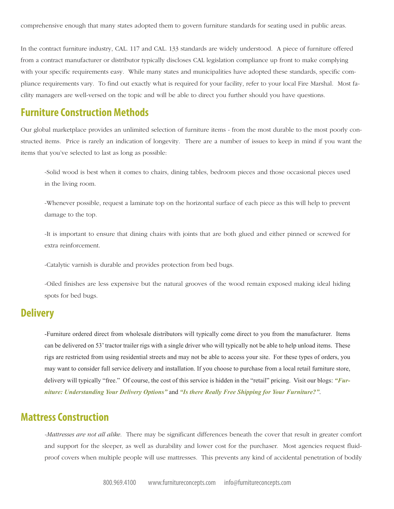In the contract furniture industry, CAL. 117 and CAL. 133 standards are widely understood. A piece of furniture offered from a contract manufacturer or distributor typically discloses CAL legislation compliance up front to make complying with your specific requirements easy. While many states and municipalities have adopted these standards, specific compliance requirements vary. To find out exactly what is required for your facility, refer to your local Fire Marshal. Most facility managers are well-versed on the topic and will be able to direct you further should you have questions.

### **Furniture Construction Methods**

Our global marketplace provides an unlimited selection of furniture items - from the most durable to the most poorly constructed items. Price is rarely an indication of longevity. There are a number of issues to keep in mind if you want the items that you've selected to last as long as possible:

-Solid wood is best when it comes to chairs, dining tables, bedroom pieces and those occasional pieces used in the living room.

-Whenever possible, request a laminate top on the horizontal surface of each piece as this will help to prevent damage to the top.

-It is important to ensure that dining chairs with joints that are both glued and either pinned or screwed for extra reinforcement.

-Catalytic varnish is durable and provides protection from bed bugs.

-Oiled finishes are less expensive but the natural grooves of the wood remain exposed making ideal hiding spots for bed bugs.

## **Delivery**

-Furniture ordered direct from wholesale distributors will typically come direct to you from the manufacturer. Items can be delivered on 53' tractor trailer rigs with a single driver who will typically not be able to help unload items. These rigs are restricted from using residential streets and may not be able to access your site. For these types of orders, you may want to consider full service delivery and installation. If you choose to purchase from a local retail furniture store, delivery will typically "free." Of course, the cost of this service is hidden in the "retail" pricing. Visit our blogs: *"Furniture: Understanding Your Delivery Options"* and *"Is there Really Free Shipping for Your Furniture?"*.

#### **Mattress Construction**

*-Mattresses are not all alike*. There may be significant differences beneath the cover that result in greater comfort and support for the sleeper, as well as durability and lower cost for the purchaser. Most agencies request fluidproof covers when multiple people will use mattresses. This prevents any kind of accidental penetration of bodily